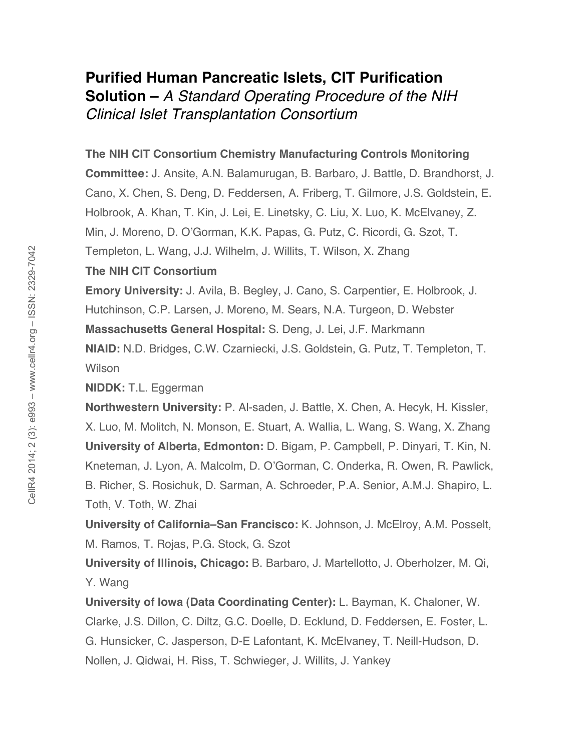# **Purified Human Pancreatic Islets, CIT Purification Solution –** *A Standard Operating Procedure of the NIH Clinical Islet Transplantation Consortium*

### **The NIH CIT Consortium Chemistry Manufacturing Controls Monitoring**

**Committee:** J. Ansite, A.N. Balamurugan, B. Barbaro, J. Battle, D. Brandhorst, J. Cano, X. Chen, S. Deng, D. Feddersen, A. Friberg, T. Gilmore, J.S. Goldstein, E. Holbrook, A. Khan, T. Kin, J. Lei, E. Linetsky, C. Liu, X. Luo, K. McElvaney, Z. Min, J. Moreno, D. O'Gorman, K.K. Papas, G. Putz, C. Ricordi, G. Szot, T. Templeton, L. Wang, J.J. Wilhelm, J. Willits, T. Wilson, X. Zhang

### **The NIH CIT Consortium**

**Emory University:** J. Avila, B. Begley, J. Cano, S. Carpentier, E. Holbrook, J. Hutchinson, C.P. Larsen, J. Moreno, M. Sears, N.A. Turgeon, D. Webster

**Massachusetts General Hospital:** S. Deng, J. Lei, J.F. Markmann

**NIAID:** N.D. Bridges, C.W. Czarniecki, J.S. Goldstein, G. Putz, T. Templeton, T. Wilson

**NIDDK:** T.L. Eggerman

**Northwestern University:** P. Al-saden, J. Battle, X. Chen, A. Hecyk, H. Kissler, X. Luo, M. Molitch, N. Monson, E. Stuart, A. Wallia, L. Wang, S. Wang, X. Zhang **University of Alberta, Edmonton:** D. Bigam, P. Campbell, P. Dinyari, T. Kin, N. Kneteman, J. Lyon, A. Malcolm, D. O'Gorman, C. Onderka, R. Owen, R. Pawlick, B. Richer, S. Rosichuk, D. Sarman, A. Schroeder, P.A. Senior, A.M.J. Shapiro, L. Toth, V. Toth, W. Zhai

**University of California–San Francisco:** K. Johnson, J. McElroy, A.M. Posselt, M. Ramos, T. Rojas, P.G. Stock, G. Szot

**University of Illinois, Chicago:** B. Barbaro, J. Martellotto, J. Oberholzer, M. Qi, Y. Wang

**University of Iowa (Data Coordinating Center):** L. Bayman, K. Chaloner, W. Clarke, J.S. Dillon, C. Diltz, G.C. Doelle, D. Ecklund, D. Feddersen, E. Foster, L. G. Hunsicker, C. Jasperson, D-E Lafontant, K. McElvaney, T. Neill-Hudson, D. Nollen, J. Qidwai, H. Riss, T. Schwieger, J. Willits, J. Yankey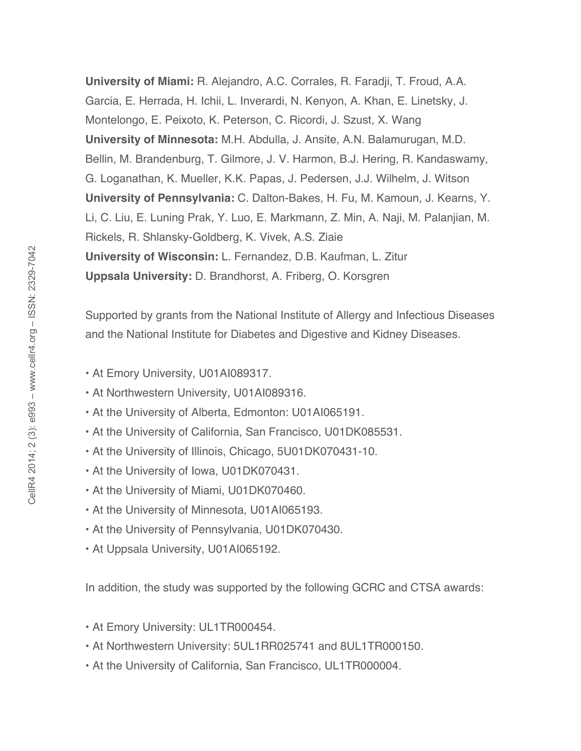**University of Miami:** R. Alejandro, A.C. Corrales, R. Faradji, T. Froud, A.A. Garcia, E. Herrada, H. Ichii, L. Inverardi, N. Kenyon, A. Khan, E. Linetsky, J. Montelongo, E. Peixoto, K. Peterson, C. Ricordi, J. Szust, X. Wang **University of Minnesota:** M.H. Abdulla, J. Ansite, A.N. Balamurugan, M.D. Bellin, M. Brandenburg, T. Gilmore, J. V. Harmon, B.J. Hering, R. Kandaswamy, G. Loganathan, K. Mueller, K.K. Papas, J. Pedersen, J.J. Wilhelm, J. Witson **University of Pennsylvania:** C. Dalton-Bakes, H. Fu, M. Kamoun, J. Kearns, Y. Li, C. Liu, E. Luning Prak, Y. Luo, E. Markmann, Z. Min, A. Naji, M. Palanjian, M. Rickels, R. Shlansky-Goldberg, K. Vivek, A.S. Ziaie **University of Wisconsin:** L. Fernandez, D.B. Kaufman, L. Zitur **Uppsala University:** D. Brandhorst, A. Friberg, O. Korsgren

Supported by grants from the National Institute of Allergy and Infectious Diseases and the National Institute for Diabetes and Digestive and Kidney Diseases.

- At Emory University, U01AI089317.
- At Northwestern University, U01AI089316.
- At the University of Alberta, Edmonton: U01AI065191.
- At the University of California, San Francisco, U01DK085531.
- At the University of Illinois, Chicago, 5U01DK070431-10.
- At the University of Iowa, U01DK070431.
- At the University of Miami, U01DK070460.
- At the University of Minnesota, U01AI065193.
- At the University of Pennsylvania, U01DK070430.
- At Uppsala University, U01AI065192.

In addition, the study was supported by the following GCRC and CTSA awards:

- At Emory University: UL1TR000454.
- At Northwestern University: 5UL1RR025741 and 8UL1TR000150.
- At the University of California, San Francisco, UL1TR000004.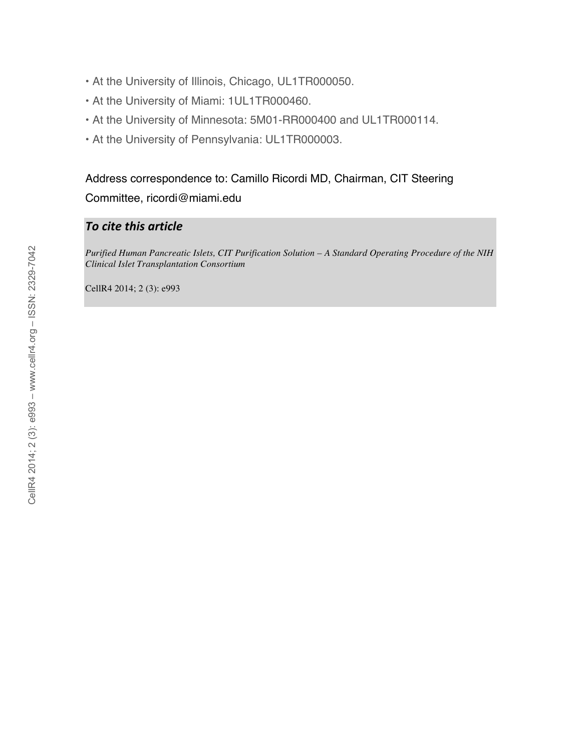- At the University of Illinois, Chicago, UL1TR000050.
- At the University of Miami: 1UL1TR000460.
- At the University of Minnesota: 5M01-RR000400 and UL1TR000114.
- At the University of Pennsylvania: UL1TR000003.

## Address correspondence to: Camillo Ricordi MD, Chairman, CIT Steering Committee, ricordi@miami.edu

## *To
cite
this
article*

*Purified Human Pancreatic Islets, CIT Purification Solution – A Standard Operating Procedure of the NIH Clinical Islet Transplantation Consortium*

CellR4 2014; 2 (3): e993